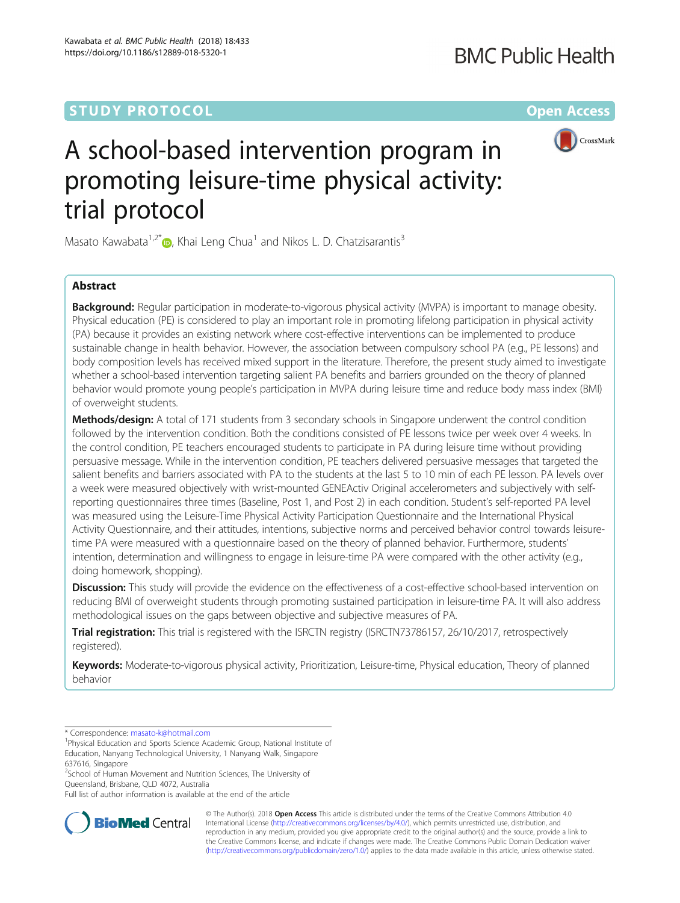# **STUDY PROTOCOL CONSUMING THE RESERVE ACCESS**



# A school-based intervention program in promoting leisure-time physical activity: trial protocol

Masato Kawabata<sup>1[,](http://orcid.org/0000-0002-1927-1359)2\*</sup>  $\bullet$ , Khai Leng Chua<sup>1</sup> and Nikos L. D. Chatzisarantis<sup>3</sup>

### Abstract

Background: Regular participation in moderate-to-vigorous physical activity (MVPA) is important to manage obesity. Physical education (PE) is considered to play an important role in promoting lifelong participation in physical activity (PA) because it provides an existing network where cost-effective interventions can be implemented to produce sustainable change in health behavior. However, the association between compulsory school PA (e.g., PE lessons) and body composition levels has received mixed support in the literature. Therefore, the present study aimed to investigate whether a school-based intervention targeting salient PA benefits and barriers grounded on the theory of planned behavior would promote young people's participation in MVPA during leisure time and reduce body mass index (BMI) of overweight students.

Methods/design: A total of 171 students from 3 secondary schools in Singapore underwent the control condition followed by the intervention condition. Both the conditions consisted of PE lessons twice per week over 4 weeks. In the control condition, PE teachers encouraged students to participate in PA during leisure time without providing persuasive message. While in the intervention condition, PE teachers delivered persuasive messages that targeted the salient benefits and barriers associated with PA to the students at the last 5 to 10 min of each PE lesson. PA levels over a week were measured objectively with wrist-mounted GENEActiv Original accelerometers and subjectively with selfreporting questionnaires three times (Baseline, Post 1, and Post 2) in each condition. Student's self-reported PA level was measured using the Leisure-Time Physical Activity Participation Questionnaire and the International Physical Activity Questionnaire, and their attitudes, intentions, subjective norms and perceived behavior control towards leisuretime PA were measured with a questionnaire based on the theory of planned behavior. Furthermore, students' intention, determination and willingness to engage in leisure-time PA were compared with the other activity (e.g., doing homework, shopping).

Discussion: This study will provide the evidence on the effectiveness of a cost-effective school-based intervention on reducing BMI of overweight students through promoting sustained participation in leisure-time PA. It will also address methodological issues on the gaps between objective and subjective measures of PA.

Trial registration: This trial is registered with the ISRCTN registry (ISRCTN73786157, 26/10/2017, retrospectively registered).

Keywords: Moderate-to-vigorous physical activity, Prioritization, Leisure-time, Physical education, Theory of planned behavior

\* Correspondence: [masato-k@hotmail.com](mailto:masato-k@hotmail.com) <sup>1</sup>

<sup>2</sup>School of Human Movement and Nutrition Sciences, The University of Queensland, Brisbane, QLD 4072, Australia

Full list of author information is available at the end of the article



© The Author(s). 2018 Open Access This article is distributed under the terms of the Creative Commons Attribution 4.0 International License [\(http://creativecommons.org/licenses/by/4.0/](http://creativecommons.org/licenses/by/4.0/)), which permits unrestricted use, distribution, and reproduction in any medium, provided you give appropriate credit to the original author(s) and the source, provide a link to the Creative Commons license, and indicate if changes were made. The Creative Commons Public Domain Dedication waiver [\(http://creativecommons.org/publicdomain/zero/1.0/](http://creativecommons.org/publicdomain/zero/1.0/)) applies to the data made available in this article, unless otherwise stated.

<sup>&</sup>lt;sup>1</sup>Physical Education and Sports Science Academic Group, National Institute of Education, Nanyang Technological University, 1 Nanyang Walk, Singapore 637616, Singapore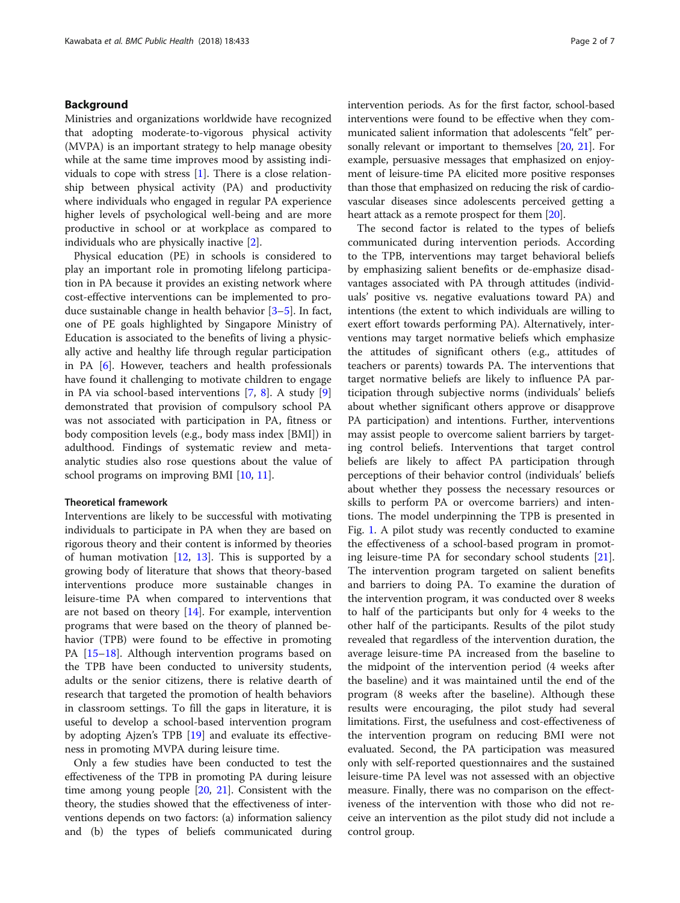#### Background

Ministries and organizations worldwide have recognized that adopting moderate-to-vigorous physical activity (MVPA) is an important strategy to help manage obesity while at the same time improves mood by assisting individuals to cope with stress [\[1](#page-6-0)]. There is a close relationship between physical activity (PA) and productivity where individuals who engaged in regular PA experience higher levels of psychological well-being and are more productive in school or at workplace as compared to individuals who are physically inactive [\[2](#page-6-0)].

Physical education (PE) in schools is considered to play an important role in promoting lifelong participation in PA because it provides an existing network where cost-effective interventions can be implemented to produce sustainable change in health behavior [\[3](#page-6-0)–[5\]](#page-6-0). In fact, one of PE goals highlighted by Singapore Ministry of Education is associated to the benefits of living a physically active and healthy life through regular participation in PA [\[6](#page-6-0)]. However, teachers and health professionals have found it challenging to motivate children to engage in PA via school-based interventions [\[7](#page-6-0), [8](#page-6-0)]. A study [\[9](#page-6-0)] demonstrated that provision of compulsory school PA was not associated with participation in PA, fitness or body composition levels (e.g., body mass index [BMI]) in adulthood. Findings of systematic review and metaanalytic studies also rose questions about the value of school programs on improving BMI [\[10](#page-6-0), [11\]](#page-6-0).

#### Theoretical framework

Interventions are likely to be successful with motivating individuals to participate in PA when they are based on rigorous theory and their content is informed by theories of human motivation  $[12, 13]$  $[12, 13]$  $[12, 13]$ . This is supported by a growing body of literature that shows that theory-based interventions produce more sustainable changes in leisure-time PA when compared to interventions that are not based on theory [\[14\]](#page-6-0). For example, intervention programs that were based on the theory of planned behavior (TPB) were found to be effective in promoting PA [\[15](#page-6-0)–[18\]](#page-6-0). Although intervention programs based on the TPB have been conducted to university students, adults or the senior citizens, there is relative dearth of research that targeted the promotion of health behaviors in classroom settings. To fill the gaps in literature, it is useful to develop a school-based intervention program by adopting Ajzen's TPB [[19\]](#page-6-0) and evaluate its effectiveness in promoting MVPA during leisure time.

Only a few studies have been conducted to test the effectiveness of the TPB in promoting PA during leisure time among young people [[20](#page-6-0), [21](#page-6-0)]. Consistent with the theory, the studies showed that the effectiveness of interventions depends on two factors: (a) information saliency and (b) the types of beliefs communicated during intervention periods. As for the first factor, school-based interventions were found to be effective when they communicated salient information that adolescents "felt" personally relevant or important to themselves [[20](#page-6-0), [21\]](#page-6-0). For example, persuasive messages that emphasized on enjoyment of leisure-time PA elicited more positive responses than those that emphasized on reducing the risk of cardiovascular diseases since adolescents perceived getting a heart attack as a remote prospect for them [[20](#page-6-0)].

The second factor is related to the types of beliefs communicated during intervention periods. According to the TPB, interventions may target behavioral beliefs by emphasizing salient benefits or de-emphasize disadvantages associated with PA through attitudes (individuals' positive vs. negative evaluations toward PA) and intentions (the extent to which individuals are willing to exert effort towards performing PA). Alternatively, interventions may target normative beliefs which emphasize the attitudes of significant others (e.g., attitudes of teachers or parents) towards PA. The interventions that target normative beliefs are likely to influence PA participation through subjective norms (individuals' beliefs about whether significant others approve or disapprove PA participation) and intentions. Further, interventions may assist people to overcome salient barriers by targeting control beliefs. Interventions that target control beliefs are likely to affect PA participation through perceptions of their behavior control (individuals' beliefs about whether they possess the necessary resources or skills to perform PA or overcome barriers) and intentions. The model underpinning the TPB is presented in Fig. [1.](#page-2-0) A pilot study was recently conducted to examine the effectiveness of a school-based program in promoting leisure-time PA for secondary school students [\[21](#page-6-0)]. The intervention program targeted on salient benefits and barriers to doing PA. To examine the duration of the intervention program, it was conducted over 8 weeks to half of the participants but only for 4 weeks to the other half of the participants. Results of the pilot study revealed that regardless of the intervention duration, the average leisure-time PA increased from the baseline to the midpoint of the intervention period (4 weeks after the baseline) and it was maintained until the end of the program (8 weeks after the baseline). Although these results were encouraging, the pilot study had several limitations. First, the usefulness and cost-effectiveness of the intervention program on reducing BMI were not evaluated. Second, the PA participation was measured only with self-reported questionnaires and the sustained leisure-time PA level was not assessed with an objective measure. Finally, there was no comparison on the effectiveness of the intervention with those who did not receive an intervention as the pilot study did not include a control group.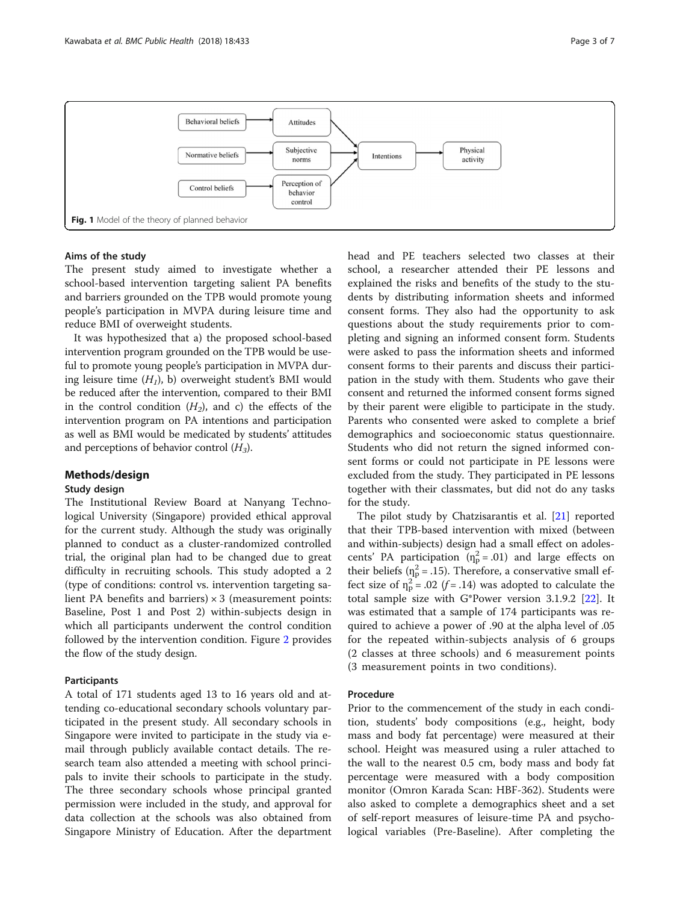

<span id="page-2-0"></span>

#### Aims of the study

The present study aimed to investigate whether a school-based intervention targeting salient PA benefits and barriers grounded on the TPB would promote young people's participation in MVPA during leisure time and reduce BMI of overweight students.

It was hypothesized that a) the proposed school-based intervention program grounded on the TPB would be useful to promote young people's participation in MVPA during leisure time  $(H<sub>1</sub>)$ , b) overweight student's BMI would be reduced after the intervention, compared to their BMI in the control condition  $(H_2)$ , and c) the effects of the intervention program on PA intentions and participation as well as BMI would be medicated by students' attitudes and perceptions of behavior control  $(H_3)$ .

#### Methods/design

#### Study design

The Institutional Review Board at Nanyang Technological University (Singapore) provided ethical approval for the current study. Although the study was originally planned to conduct as a cluster-randomized controlled trial, the original plan had to be changed due to great difficulty in recruiting schools. This study adopted a 2 (type of conditions: control vs. intervention targeting salient PA benefits and barriers)  $\times$  3 (measurement points: Baseline, Post 1 and Post 2) within-subjects design in which all participants underwent the control condition followed by the intervention condition. Figure [2](#page-3-0) provides the flow of the study design.

#### Participants

A total of 171 students aged 13 to 16 years old and attending co-educational secondary schools voluntary participated in the present study. All secondary schools in Singapore were invited to participate in the study via email through publicly available contact details. The research team also attended a meeting with school principals to invite their schools to participate in the study. The three secondary schools whose principal granted permission were included in the study, and approval for data collection at the schools was also obtained from Singapore Ministry of Education. After the department head and PE teachers selected two classes at their school, a researcher attended their PE lessons and explained the risks and benefits of the study to the students by distributing information sheets and informed consent forms. They also had the opportunity to ask questions about the study requirements prior to completing and signing an informed consent form. Students were asked to pass the information sheets and informed consent forms to their parents and discuss their participation in the study with them. Students who gave their consent and returned the informed consent forms signed by their parent were eligible to participate in the study. Parents who consented were asked to complete a brief demographics and socioeconomic status questionnaire. Students who did not return the signed informed consent forms or could not participate in PE lessons were excluded from the study. They participated in PE lessons together with their classmates, but did not do any tasks for the study.

The pilot study by Chatzisarantis et al. [\[21](#page-6-0)] reported that their TPB-based intervention with mixed (between and within-subjects) design had a small effect on adolescents' PA participation  $(n_P^2 = .01)$  and large effects on their beliefs ( $\eta_p^2$  = .15). Therefore, a conservative small effect size of  $\eta_p^2 = .02$  (f = .14) was adopted to calculate the total sample size with  $G^*$ Power version 3.1.9.2  $[22]$  $[22]$ . It was estimated that a sample of 174 participants was required to achieve a power of .90 at the alpha level of .05 for the repeated within-subjects analysis of 6 groups (2 classes at three schools) and 6 measurement points (3 measurement points in two conditions).

#### Procedure

Prior to the commencement of the study in each condition, students' body compositions (e.g., height, body mass and body fat percentage) were measured at their school. Height was measured using a ruler attached to the wall to the nearest 0.5 cm, body mass and body fat percentage were measured with a body composition monitor (Omron Karada Scan: HBF-362). Students were also asked to complete a demographics sheet and a set of self-report measures of leisure-time PA and psychological variables (Pre-Baseline). After completing the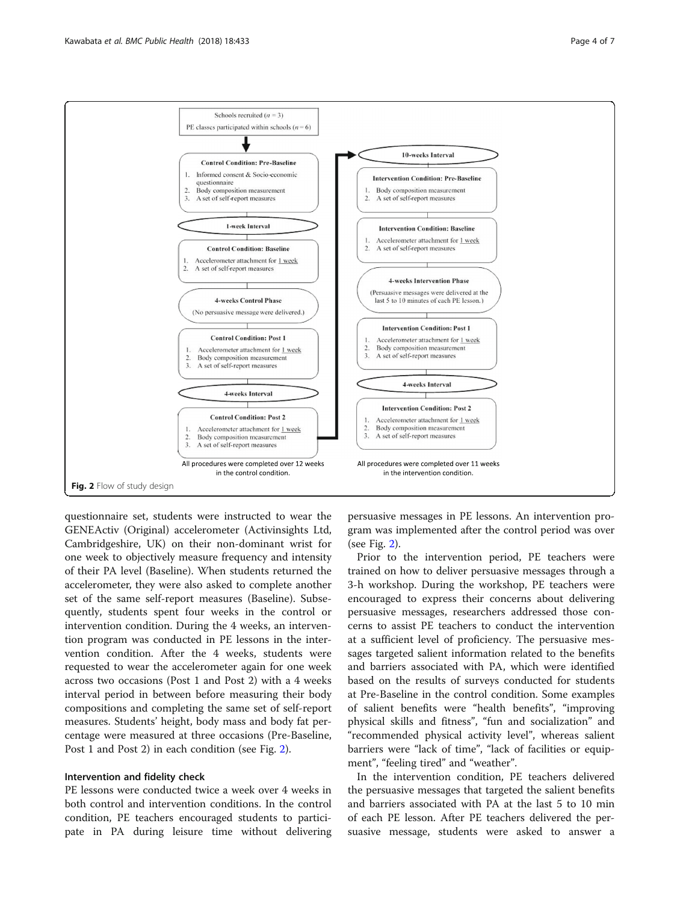<span id="page-3-0"></span>

questionnaire set, students were instructed to wear the GENEActiv (Original) accelerometer (Activinsights Ltd, Cambridgeshire, UK) on their non-dominant wrist for one week to objectively measure frequency and intensity of their PA level (Baseline). When students returned the accelerometer, they were also asked to complete another set of the same self-report measures (Baseline). Subsequently, students spent four weeks in the control or intervention condition. During the 4 weeks, an intervention program was conducted in PE lessons in the intervention condition. After the 4 weeks, students were requested to wear the accelerometer again for one week across two occasions (Post 1 and Post 2) with a 4 weeks interval period in between before measuring their body compositions and completing the same set of self-report measures. Students' height, body mass and body fat percentage were measured at three occasions (Pre-Baseline, Post 1 and Post 2) in each condition (see Fig. 2).

#### Intervention and fidelity check

PE lessons were conducted twice a week over 4 weeks in both control and intervention conditions. In the control condition, PE teachers encouraged students to participate in PA during leisure time without delivering persuasive messages in PE lessons. An intervention program was implemented after the control period was over (see Fig. 2).

Prior to the intervention period, PE teachers were trained on how to deliver persuasive messages through a 3-h workshop. During the workshop, PE teachers were encouraged to express their concerns about delivering persuasive messages, researchers addressed those concerns to assist PE teachers to conduct the intervention at a sufficient level of proficiency. The persuasive messages targeted salient information related to the benefits and barriers associated with PA, which were identified based on the results of surveys conducted for students at Pre-Baseline in the control condition. Some examples of salient benefits were "health benefits", "improving physical skills and fitness", "fun and socialization" and "recommended physical activity level", whereas salient barriers were "lack of time", "lack of facilities or equipment", "feeling tired" and "weather".

In the intervention condition, PE teachers delivered the persuasive messages that targeted the salient benefits and barriers associated with PA at the last 5 to 10 min of each PE lesson. After PE teachers delivered the persuasive message, students were asked to answer a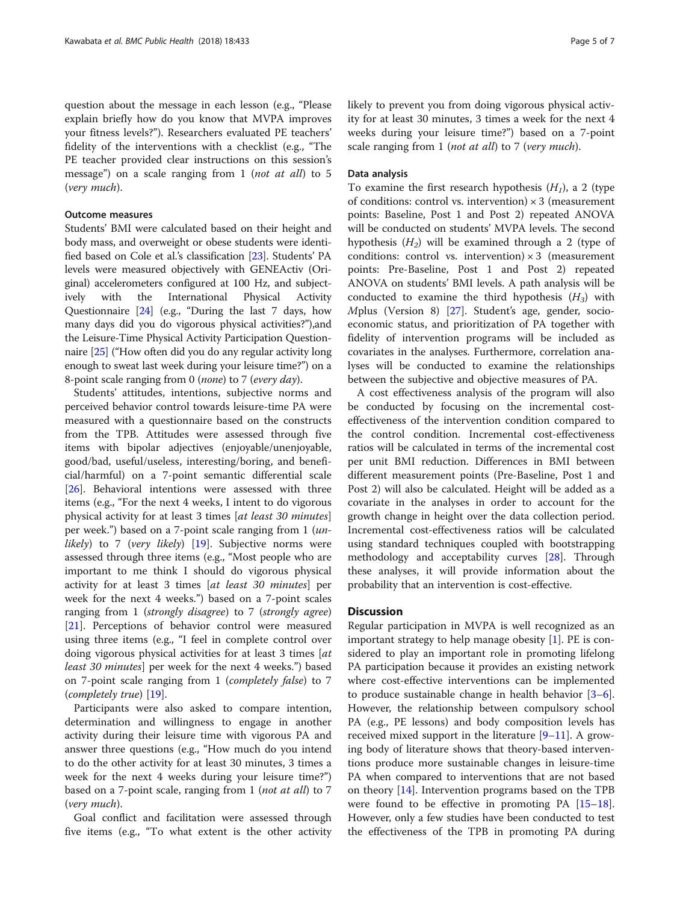question about the message in each lesson (e.g., "Please explain briefly how do you know that MVPA improves your fitness levels?"). Researchers evaluated PE teachers' fidelity of the interventions with a checklist (e.g., "The PE teacher provided clear instructions on this session's message") on a scale ranging from 1 (*not at all*) to 5 (very much).

#### Outcome measures

Students' BMI were calculated based on their height and body mass, and overweight or obese students were identified based on Cole et al.'s classification [[23](#page-6-0)]. Students' PA levels were measured objectively with GENEActiv (Original) accelerometers configured at 100 Hz, and subjectively with the International Physical Activity Questionnaire [[24\]](#page-6-0) (e.g., "During the last 7 days, how many days did you do vigorous physical activities?"),and the Leisure-Time Physical Activity Participation Questionnaire [\[25](#page-6-0)] ("How often did you do any regular activity long enough to sweat last week during your leisure time?") on a 8-point scale ranging from 0 (none) to 7 (every day).

Students' attitudes, intentions, subjective norms and perceived behavior control towards leisure-time PA were measured with a questionnaire based on the constructs from the TPB. Attitudes were assessed through five items with bipolar adjectives (enjoyable/unenjoyable, good/bad, useful/useless, interesting/boring, and beneficial/harmful) on a 7-point semantic differential scale [[26\]](#page-6-0). Behavioral intentions were assessed with three items (e.g., "For the next 4 weeks, I intent to do vigorous physical activity for at least 3 times [at least 30 minutes] per week.") based on a 7-point scale ranging from 1 (unlikely) to 7 (very likely)  $[19]$  $[19]$ . Subjective norms were assessed through three items (e.g., "Most people who are important to me think I should do vigorous physical activity for at least 3 times [at least 30 minutes] per week for the next 4 weeks.") based on a 7-point scales ranging from 1 (strongly disagree) to 7 (strongly agree) [[21\]](#page-6-0). Perceptions of behavior control were measured using three items (e.g., "I feel in complete control over doing vigorous physical activities for at least 3 times [at least 30 minutes] per week for the next 4 weeks.") based on 7-point scale ranging from 1 (completely false) to 7 (completely true) [\[19](#page-6-0)].

Participants were also asked to compare intention, determination and willingness to engage in another activity during their leisure time with vigorous PA and answer three questions (e.g., "How much do you intend to do the other activity for at least 30 minutes, 3 times a week for the next 4 weeks during your leisure time?") based on a 7-point scale, ranging from 1 (*not at all*) to 7 (very much).

Goal conflict and facilitation were assessed through five items (e.g., "To what extent is the other activity likely to prevent you from doing vigorous physical activity for at least 30 minutes, 3 times a week for the next 4 weeks during your leisure time?") based on a 7-point scale ranging from 1 (not at all) to 7 (very much).

#### Data analysis

To examine the first research hypothesis  $(H_1)$ , a 2 (type of conditions: control vs. intervention)  $\times$  3 (measurement points: Baseline, Post 1 and Post 2) repeated ANOVA will be conducted on students' MVPA levels. The second hypothesis  $(H_2)$  will be examined through a 2 (type of conditions: control vs. intervention)  $\times$  3 (measurement points: Pre-Baseline, Post 1 and Post 2) repeated ANOVA on students' BMI levels. A path analysis will be conducted to examine the third hypothesis  $(H_3)$  with Mplus (Version 8) [\[27\]](#page-6-0). Student's age, gender, socioeconomic status, and prioritization of PA together with fidelity of intervention programs will be included as covariates in the analyses. Furthermore, correlation analyses will be conducted to examine the relationships between the subjective and objective measures of PA.

A cost effectiveness analysis of the program will also be conducted by focusing on the incremental costeffectiveness of the intervention condition compared to the control condition. Incremental cost-effectiveness ratios will be calculated in terms of the incremental cost per unit BMI reduction. Differences in BMI between different measurement points (Pre-Baseline, Post 1 and Post 2) will also be calculated. Height will be added as a covariate in the analyses in order to account for the growth change in height over the data collection period. Incremental cost-effectiveness ratios will be calculated using standard techniques coupled with bootstrapping methodology and acceptability curves [[28\]](#page-6-0). Through these analyses, it will provide information about the probability that an intervention is cost-effective.

#### **Discussion**

Regular participation in MVPA is well recognized as an important strategy to help manage obesity [[1\]](#page-6-0). PE is considered to play an important role in promoting lifelong PA participation because it provides an existing network where cost-effective interventions can be implemented to produce sustainable change in health behavior  $[3-6]$  $[3-6]$  $[3-6]$  $[3-6]$ . However, the relationship between compulsory school PA (e.g., PE lessons) and body composition levels has received mixed support in the literature [\[9](#page-6-0)–[11](#page-6-0)]. A growing body of literature shows that theory-based interventions produce more sustainable changes in leisure-time PA when compared to interventions that are not based on theory [[14\]](#page-6-0). Intervention programs based on the TPB were found to be effective in promoting PA  $[15-18]$  $[15-18]$  $[15-18]$  $[15-18]$  $[15-18]$ . However, only a few studies have been conducted to test the effectiveness of the TPB in promoting PA during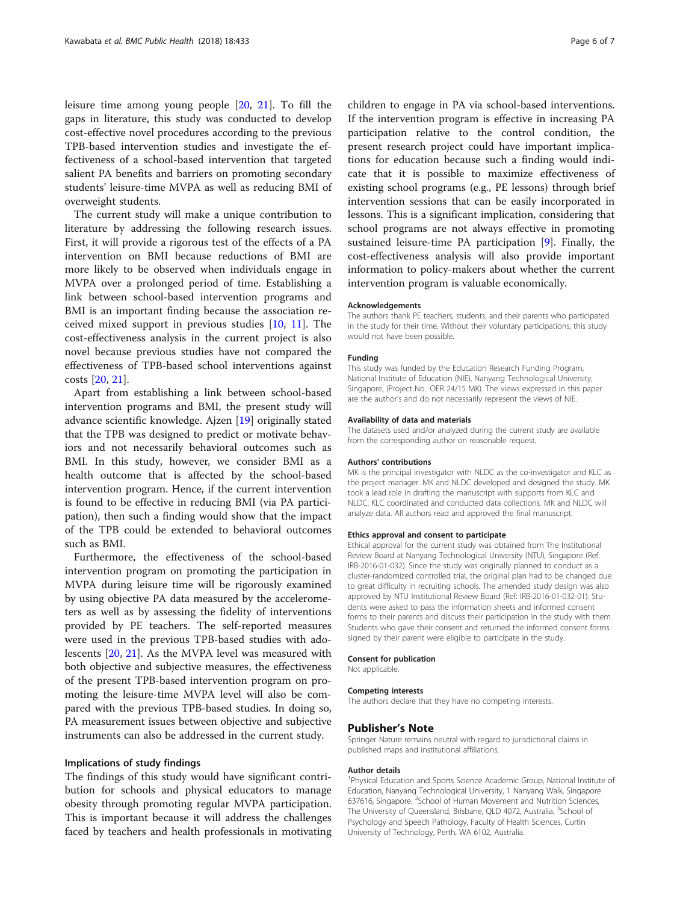leisure time among young people [[20,](#page-6-0) [21\]](#page-6-0). To fill the gaps in literature, this study was conducted to develop cost-effective novel procedures according to the previous TPB-based intervention studies and investigate the effectiveness of a school-based intervention that targeted salient PA benefits and barriers on promoting secondary students' leisure-time MVPA as well as reducing BMI of overweight students.

The current study will make a unique contribution to literature by addressing the following research issues. First, it will provide a rigorous test of the effects of a PA intervention on BMI because reductions of BMI are more likely to be observed when individuals engage in MVPA over a prolonged period of time. Establishing a link between school-based intervention programs and BMI is an important finding because the association received mixed support in previous studies [[10](#page-6-0), [11\]](#page-6-0). The cost-effectiveness analysis in the current project is also novel because previous studies have not compared the effectiveness of TPB-based school interventions against costs [\[20,](#page-6-0) [21\]](#page-6-0).

Apart from establishing a link between school-based intervention programs and BMI, the present study will advance scientific knowledge. Ajzen [[19](#page-6-0)] originally stated that the TPB was designed to predict or motivate behaviors and not necessarily behavioral outcomes such as BMI. In this study, however, we consider BMI as a health outcome that is affected by the school-based intervention program. Hence, if the current intervention is found to be effective in reducing BMI (via PA participation), then such a finding would show that the impact of the TPB could be extended to behavioral outcomes such as BMI.

Furthermore, the effectiveness of the school-based intervention program on promoting the participation in MVPA during leisure time will be rigorously examined by using objective PA data measured by the accelerometers as well as by assessing the fidelity of interventions provided by PE teachers. The self-reported measures were used in the previous TPB-based studies with adolescents [\[20,](#page-6-0) [21](#page-6-0)]. As the MVPA level was measured with both objective and subjective measures, the effectiveness of the present TPB-based intervention program on promoting the leisure-time MVPA level will also be compared with the previous TPB-based studies. In doing so, PA measurement issues between objective and subjective instruments can also be addressed in the current study.

#### Implications of study findings

The findings of this study would have significant contribution for schools and physical educators to manage obesity through promoting regular MVPA participation. This is important because it will address the challenges faced by teachers and health professionals in motivating

children to engage in PA via school-based interventions. If the intervention program is effective in increasing PA participation relative to the control condition, the present research project could have important implications for education because such a finding would indicate that it is possible to maximize effectiveness of existing school programs (e.g., PE lessons) through brief intervention sessions that can be easily incorporated in lessons. This is a significant implication, considering that school programs are not always effective in promoting sustained leisure-time PA participation [[9\]](#page-6-0). Finally, the cost-effectiveness analysis will also provide important information to policy-makers about whether the current intervention program is valuable economically.

#### Acknowledgements

The authors thank PE teachers, students, and their parents who participated in the study for their time. Without their voluntary participations, this study would not have been possible.

#### Funding

This study was funded by the Education Research Funding Program, National Institute of Education (NIE), Nanyang Technological University, Singapore, (Project No.: OER 24/15 MK). The views expressed in this paper are the author's and do not necessarily represent the views of NIE.

#### Availability of data and materials

The datasets used and/or analyzed during the current study are available from the corresponding author on reasonable request.

#### Authors' contributions

MK is the principal investigator with NLDC as the co-investigator and KLC as the project manager. MK and NLDC developed and designed the study. MK took a lead role in drafting the manuscript with supports from KLC and NLDC. KLC coordinated and conducted data collections. MK and NLDC will analyze data. All authors read and approved the final manuscript.

#### Ethics approval and consent to participate

Ethical approval for the current study was obtained from The Institutional Review Board at Nanyang Technological University (NTU), Singapore (Ref: IRB-2016-01-032). Since the study was originally planned to conduct as a cluster-randomized controlled trial, the original plan had to be changed due to great difficulty in recruiting schools. The amended study design was also approved by NTU Institutional Review Board (Ref: IRB-2016-01-032-01). Students were asked to pass the information sheets and informed consent forms to their parents and discuss their participation in the study with them. Students who gave their consent and returned the informed consent forms signed by their parent were eligible to participate in the study.

#### Consent for publication

Not applicable.

#### Competing interests

The authors declare that they have no competing interests.

#### Publisher's Note

Springer Nature remains neutral with regard to jurisdictional claims in published maps and institutional affiliations.

#### Author details

<sup>1</sup>Physical Education and Sports Science Academic Group, National Institute of Education, Nanyang Technological University, 1 Nanyang Walk, Singapore 637616, Singapore.<sup>2</sup>School of Human Movement and Nutrition Sciences The University of Queensland, Brisbane, QLD 4072, Australia. <sup>3</sup>School of Psychology and Speech Pathology, Faculty of Health Sciences, Curtin University of Technology, Perth, WA 6102, Australia.